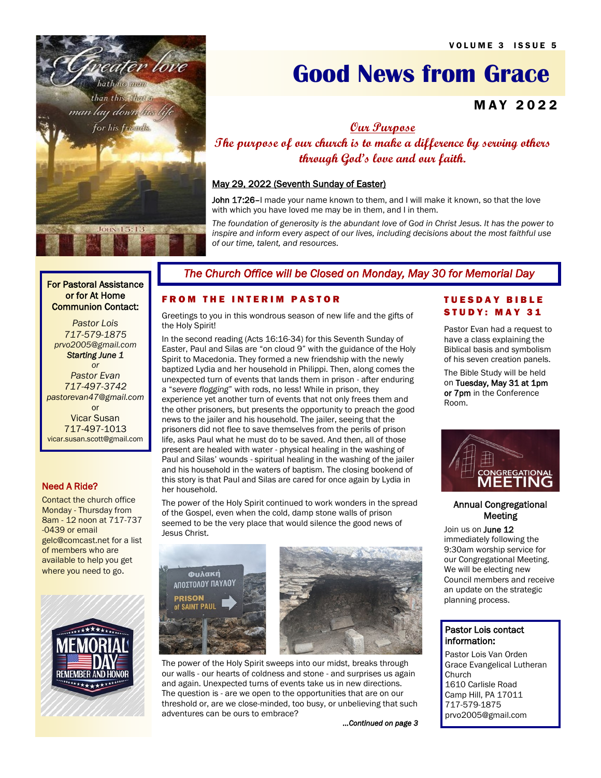

# **Good News from Grace**

# **MAY 2022**

**Our Purpose**

**The purpose of our church is to make a difference by serving others through God's love and our faith.**

## May 29, 2022 (Seventh Sunday of Easter)

John 17:26-I made your name known to them, and I will make it known, so that the love with which you have loved me may be in them, and I in them.

*The foundation of generosity is the abundant love of God in Christ Jesus. It has the power to inspire and inform every aspect of our lives, including decisions about the most faithful use of our time, talent, and resources.*

#### For Pastoral Assistance or for At Home Communion Contact:

 *Pastor Lois 717-579-1875 prvo2005@gmail.com Starting June 1* 

*or Pastor Evan 717-497-3742 pastorevan47@gmail.com* or Vicar Susan 717-497-1013 vicar.susan.scott@gmail.com

## Need A Ride?

Contact the church office Monday - Thursday from 8am - 12 noon at 717-737 -0439 or email gelc@comcast.net for a list of members who are available to help you get where you need to go.



# *The Church Office will be Closed on Monday, May 30 for Memorial Day*

## **FROM THE INTERIM PASTOR**

Greetings to you in this wondrous season of new life and the gifts of the Holy Spirit!

In the second reading (Acts 16:16-34) for this Seventh Sunday of Easter, Paul and Silas are "on cloud 9" with the guidance of the Holy Spirit to Macedonia. They formed a new friendship with the newly baptized Lydia and her household in Philippi. Then, along comes the unexpected turn of events that lands them in prison - after enduring a "*severe flogging*" with rods, no less! While in prison, they experience yet another turn of events that not only frees them and the other prisoners, but presents the opportunity to preach the good news to the jailer and his household. The jailer, seeing that the prisoners did not flee to save themselves from the perils of prison life, asks Paul what he must do to be saved. And then, all of those present are healed with water - physical healing in the washing of Paul and Silas' wounds - spiritual healing in the washing of the jailer and his household in the waters of baptism. The closing bookend of this story is that Paul and Silas are cared for once again by Lydia in her household.

The power of the Holy Spirit continued to work wonders in the spread of the Gospel, even when the cold, damp stone walls of prison seemed to be the very place that would silence the good news of Jesus Christ.





The power of the Holy Spirit sweeps into our midst, breaks through our walls - our hearts of coldness and stone - and surprises us again and again. Unexpected turns of events take us in new directions. The question is - are we open to the opportunities that are on our threshold or, are we close-minded, too busy, or unbelieving that such adventures can be ours to embrace?

*...Continued on page 3* 

## T U E S D A Y B I B L E STUDY: MAY 31

Pastor Evan had a request to have a class explaining the Biblical basis and symbolism of his seven creation panels.

The Bible Study will be held on Tuesday, May 31 at 1pm or 7pm in the Conference Room.



## Annual Congregational Meeting

Join us on June 12 immediately following the 9:30am worship service for our Congregational Meeting. We will be electing new Council members and receive an update on the strategic planning process.

## Pastor Lois contact information:

Pastor Lois Van Orden Grace Evangelical Lutheran Church 1610 Carlisle Road Camp Hill, PA 17011 717-579-1875 prvo2005@gmail.com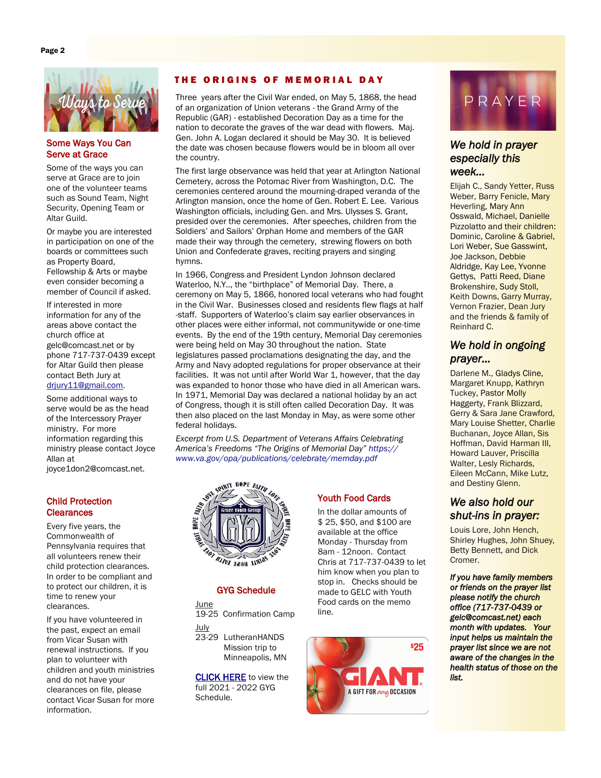

## Some Ways You Can Serve at Grace

Some of the ways you can serve at Grace are to join one of the volunteer teams such as Sound Team, Night Security, Opening Team or Altar Guild.

Or maybe you are interested in participation on one of the boards or committees such as Property Board, Fellowship & Arts or maybe even consider becoming a member of Council if asked.

If interested in more information for any of the areas above contact the church office at gelc@comcast.net or by phone 717-737-0439 except for Altar Guild then please contact Beth Jury at drjury11@gmail.com.

Some additional ways to serve would be as the head of the Intercessory Prayer ministry. For more information regarding this ministry please contact Joyce Allan at joyce1don2@comcast.net.

## Child Protection **Clearances**

Every five years, the Commonwealth of Pennsylvania requires that all volunteers renew their child protection clearances. In order to be compliant and to protect our children, it is time to renew your clearances.

If you have volunteered in the past, expect an email from Vicar Susan with renewal instructions. If you plan to volunteer with children and youth ministries and do not have your clearances on file, please contact Vicar Susan for more information.

#### THE ORIGINS OF MEMORIAL DAY

Three years after the Civil War ended, on May 5, 1868, the head of an organization of Union veterans - the Grand Army of the Republic (GAR) - established Decoration Day as a time for the nation to decorate the graves of the war dead with flowers. Maj. Gen. John A. Logan declared it should be May 30. It is believed the date was chosen because flowers would be in bloom all over the country.

The first large observance was held that year at Arlington National Cemetery, across the Potomac River from Washington, D.C. The ceremonies centered around the mourning-draped veranda of the Arlington mansion, once the home of Gen. Robert E. Lee. Various Washington officials, including Gen. and Mrs. Ulysses S. Grant, presided over the ceremonies. After speeches, children from the Soldiers' and Sailors' Orphan Home and members of the GAR made their way through the cemetery, strewing flowers on both Union and Confederate graves, reciting prayers and singing hymns.

In 1966, Congress and President Lyndon Johnson declared Waterloo, N.Y.., the "birthplace" of Memorial Day. There, a ceremony on May 5, 1866, honored local veterans who had fought in the Civil War. Businesses closed and residents flew flags at half -staff. Supporters of Waterloo's claim say earlier observances in other places were either informal, not communitywide or one-time events. By the end of the 19th century, Memorial Day ceremonies were being held on May 30 throughout the nation. State legislatures passed proclamations designating the day, and the Army and Navy adopted regulations for proper observance at their facilities. It was not until after World War 1, however, that the day was expanded to honor those who have died in all American wars. In 1971, Memorial Day was declared a national holiday by an act of Congress, though it is still often called Decoration Day. It was then also placed on the last Monday in May, as were some other federal holidays.

*Excerpt from U.S. Department of Veterans Affairs Celebrating America's Freedoms "The Origins of Memorial Day" https:// www.va.gov/opa/publications/celebrate/memday.pdf*



## GYG Schedule

**June** 

19-25 Confirmation Camp July

23-29 LutheranHANDS Mission trip to Minneapolis, MN

[CLICK HERE](https://b09c93a5-c12d-425b-9eac-2de470f65c89.filesusr.com/ugd/f68493_630a778947f140e1abb7f6de44fc3f17.pdf) to view the full 2021 - 2022 GYG Schedule.

## Youth Food Cards

In the dollar amounts of \$ 25, \$50, and \$100 are available at the office Monday - Thursday from 8am - 12noon. Contact Chris at 717-737-0439 to let him know when you plan to stop in. Checks should be made to GELC with Youth Food cards on the memo line.





## *We hold in prayer especially this week…*

Elijah C., Sandy Yetter, Russ Weber, Barry Fenicle, Mary Heverling, Mary Ann Osswald, Michael, Danielle Pizzolatto and their children: Dominic, Caroline & Gabriel, Lori Weber, Sue Gasswint, Joe Jackson, Debbie Aldridge, Kay Lee, Yvonne Gettys, Patti Reed, Diane Brokenshire, Sudy Stoll, Keith Downs, Garry Murray, Vernon Frazier, Dean Jury and the friends & family of Reinhard C.

# *We hold in ongoing prayer…*

Darlene M., Gladys Cline, Margaret Knupp, Kathryn Tuckey, Pastor Molly Haggerty, Frank Blizzard, Gerry & Sara Jane Crawford, Mary Louise Shetter, Charlie Buchanan, Joyce Allan, Sis Hoffman, David Harman III, Howard Lauver, Priscilla Walter, Lesly Richards, Eileen McCann, Mike Lutz, and Destiny Glenn.

# *We also hold our shut-ins in prayer:*

Louis Lore, John Hench, Shirley Hughes, John Shuey, Betty Bennett, and Dick Cromer.

*If you have family members or friends on the prayer list please notify the church office (717-737-0439 or gelc@comcast.net) each month with updates. Your input helps us maintain the prayer list since we are not aware of the changes in the health status of those on the list.*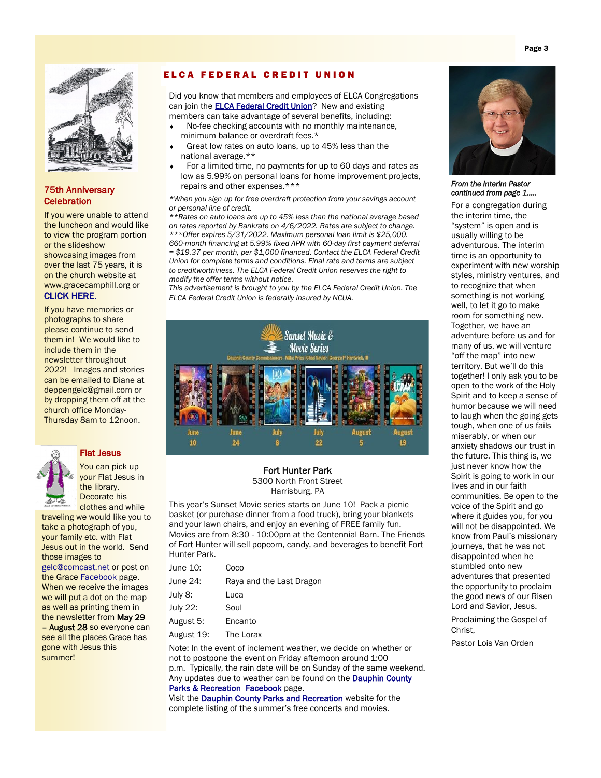

## 75th Anniversary **Celebration**

If you were unable to attend the luncheon and would like to view the program portion or the slideshow showcasing images from over the last 75 years, it is on the church website at www.gracecamphill.org or [CLICK HERE](https://www.gracecamphill.org/75th-anniversary-celebration).

If you have memories or photographs to share please continue to send them in! We would like to include them in the newsletter throughout 2022! Images and stories can be emailed to Diane at deppengelc@gmail.com or by dropping them off at the church office Monday-Thursday 8am to 12noon.



# Flat Jesus

You can pick up your Flat Jesus in the library. Decorate his clothes and while

traveling we would like you to take a photograph of you, your family etc. with Flat Jesus out in the world. Send those images to [gelc@comcast.net](mailto:gelc@comcast.net) or post on the Grace [Facebook](https://www.facebook.com/Grace-Lutheran-Church-406825572740789) page. When we receive the images we will put a dot on the map as well as printing them in the newsletter from May 29 - **August 28** so everyone can see all the places Grace has gone with Jesus this summer!

## ELCA FEDERAL CREDIT UNION

Did you know that members and employees of ELCA Congregations can join the **ELCA Federal Credit Union**? New and existing members can take advantage of several benefits, including:

- No-fee checking accounts with no monthly maintenance, minimum balance or overdraft fees.\*
- Great low rates on auto loans, up to 45% less than the national average.\*\*
- For a limited time, no payments for up to 60 days and rates as low as 5.99% on personal loans for home improvement projects, repairs and other expenses.\*\*\*

*\*When you sign up for free overdraft protection from your savings account or personal line of credit.* 

*\*\*Rates on auto loans are up to 45% less than the national average based on rates reported by Bankrate on 4/6/2022. Rates are subject to change. \*\*\*Offer expires 5/31/2022. Maximum personal loan limit is \$25,000. 660-month financing at 5.99% fixed APR with 60-day first payment deferral = \$19.37 per month, per \$1,000 financed. Contact the ELCA Federal Credit Union for complete terms and conditions. Final rate and terms are subject to creditworthiness. The ELCA Federal Credit Union reserves the right to modify the offer terms without notice.*

*This advertisement is brought to you by the ELCA Federal Credit Union. The ELCA Federal Credit Union is federally insured by NCUA.*



# Fort Hunter Park

5300 North Front Street Harrisburg, PA

This year's Sunset Movie series starts on June 10! Pack a picnic basket (or purchase dinner from a food truck), bring your blankets and your lawn chairs, and enjoy an evening of FREE family fun. Movies are from 8:30 - 10:00pm at the Centennial Barn. The Friends of Fort Hunter will sell popcorn, candy, and beverages to benefit Fort Hunter Park.

| June 10:   | Coco                     |
|------------|--------------------------|
| June 24:   | Raya and the Last Dragon |
| July 8:    | Luca                     |
| July 22:   | Soul                     |
| August 5:  | Encanto                  |
| August 19: | The Lorax                |
|            |                          |

Note: In the event of inclement weather, we decide on whether or not to postpone the event on Friday afternoon around 1:00 p.m. Typically, the rain date will be on Sunday of the same weekend. Any updates due to weather can be found on the **Dauphin County** [Parks & Recreation Facebook](https://www.facebook.com/DauphinCountyParksRecreation) page.

Visit the **Dauphin County Parks and Recreation** website for the complete listing of the summer's free concerts and movies.



*From the Interim Pastor continued from page 1…..* 

For a congregation during the interim time, the "system" is open and is usually willing to be adventurous. The interim time is an opportunity to experiment with new worship styles, ministry ventures, and to recognize that when something is not working well, to let it go to make room for something new. Together, we have an adventure before us and for many of us, we will venture "off the map" into new territory. But we'll do this together! I only ask you to be open to the work of the Holy Spirit and to keep a sense of humor because we will need to laugh when the going gets tough, when one of us fails miserably, or when our anxiety shadows our trust in the future. This thing is, we just never know how the Spirit is going to work in our lives and in our faith communities. Be open to the voice of the Spirit and go where it guides you, for you will not be disappointed. We know from Paul's missionary journeys, that he was not disappointed when he stumbled onto new adventures that presented the opportunity to proclaim the good news of our Risen Lord and Savior, Jesus.

Proclaiming the Gospel of Christ,

Pastor Lois Van Orden